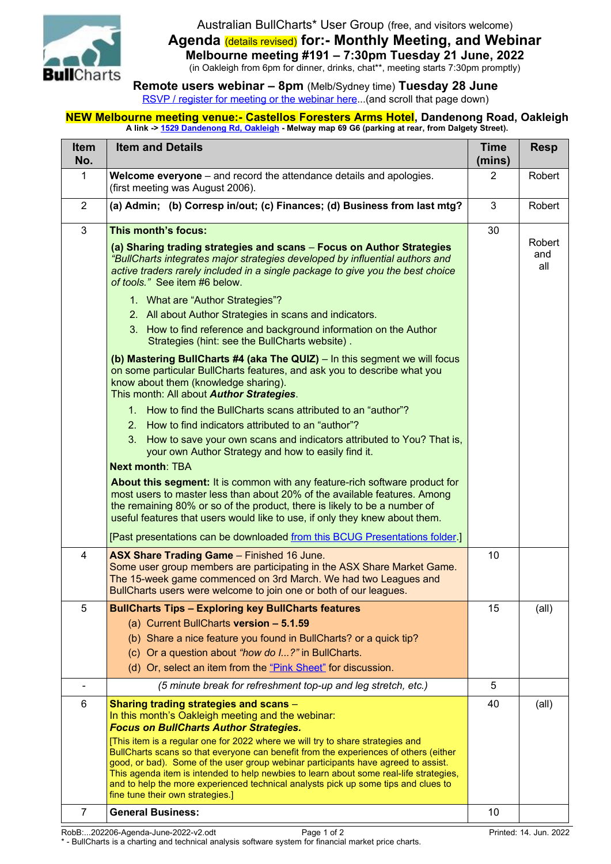

**Remote users webinar – 8pm** (Melb/Sydney time) **Tuesday 28 June** RSVP / register for meeting or the webinar here...(and scroll that page down)

**NEW Melbourne meeting venue:- Castellos Foresters Arms Hotel, Dandenong Road, Oakleigh A link -> [15 29 Dandenong Rd, Oakleigh](https://www.google.com.au/maps/place/Castellos+Foresters+Arms+Hotel/@-37.8930507,145.0890719,884m/data=!3m2!1e3!4b1!4m5!3m4!1s0x6ad66a6079e813bf:0xf44706af5c8244da!8m2!3d-37.893055!4d145.0912606?hl=en) - Melway map 69 G6 (parking at rear, from Dalgety Street).**

| <b>Item</b><br>No. | <b>Item and Details</b>                                                                                                                                                                                                                                                                                                                                                                                                                                                         | <b>Time</b><br>(mins) | <b>Resp</b>          |
|--------------------|---------------------------------------------------------------------------------------------------------------------------------------------------------------------------------------------------------------------------------------------------------------------------------------------------------------------------------------------------------------------------------------------------------------------------------------------------------------------------------|-----------------------|----------------------|
| 1                  | Welcome everyone - and record the attendance details and apologies.<br>(first meeting was August 2006).                                                                                                                                                                                                                                                                                                                                                                         | 2                     | Robert               |
| $\overline{2}$     | (a) Admin; (b) Corresp in/out; (c) Finances; (d) Business from last mtg?                                                                                                                                                                                                                                                                                                                                                                                                        | 3                     | Robert               |
| 3                  | This month's focus:                                                                                                                                                                                                                                                                                                                                                                                                                                                             | 30                    |                      |
|                    | (a) Sharing trading strategies and scans - Focus on Author Strategies<br>"BullCharts integrates major strategies developed by influential authors and<br>active traders rarely included in a single package to give you the best choice<br>of tools." See item #6 below.                                                                                                                                                                                                        |                       | Robert<br>and<br>all |
|                    | 1. What are "Author Strategies"?                                                                                                                                                                                                                                                                                                                                                                                                                                                |                       |                      |
|                    | 2. All about Author Strategies in scans and indicators.                                                                                                                                                                                                                                                                                                                                                                                                                         |                       |                      |
|                    | 3. How to find reference and background information on the Author<br>Strategies (hint: see the BullCharts website).                                                                                                                                                                                                                                                                                                                                                             |                       |                      |
|                    | (b) Mastering BullCharts #4 (aka The QUIZ) - In this segment we will focus<br>on some particular BullCharts features, and ask you to describe what you<br>know about them (knowledge sharing).<br>This month: All about Author Strategies.                                                                                                                                                                                                                                      |                       |                      |
|                    | 1. How to find the BullCharts scans attributed to an "author"?                                                                                                                                                                                                                                                                                                                                                                                                                  |                       |                      |
|                    | 2. How to find indicators attributed to an "author"?                                                                                                                                                                                                                                                                                                                                                                                                                            |                       |                      |
|                    | 3. How to save your own scans and indicators attributed to You? That is,<br>your own Author Strategy and how to easily find it.                                                                                                                                                                                                                                                                                                                                                 |                       |                      |
|                    | <b>Next month: TBA</b>                                                                                                                                                                                                                                                                                                                                                                                                                                                          |                       |                      |
|                    | About this segment: It is common with any feature-rich software product for<br>most users to master less than about 20% of the available features. Among<br>the remaining 80% or so of the product, there is likely to be a number of<br>useful features that users would like to use, if only they knew about them.                                                                                                                                                            |                       |                      |
|                    | [Past presentations can be downloaded from this BCUG Presentations folder.]                                                                                                                                                                                                                                                                                                                                                                                                     |                       |                      |
| $\overline{4}$     | ASX Share Trading Game - Finished 16 June.<br>Some user group members are participating in the ASX Share Market Game.<br>The 15-week game commenced on 3rd March. We had two Leagues and<br>BullCharts users were welcome to join one or both of our leagues.                                                                                                                                                                                                                   | 10                    |                      |
| 5                  | <b>BullCharts Tips - Exploring key BullCharts features</b>                                                                                                                                                                                                                                                                                                                                                                                                                      | 15                    | (all)                |
|                    | (a) Current BullCharts version - 5.1.59                                                                                                                                                                                                                                                                                                                                                                                                                                         |                       |                      |
|                    | (b) Share a nice feature you found in BullCharts? or a quick tip?                                                                                                                                                                                                                                                                                                                                                                                                               |                       |                      |
|                    | (c) Or a question about "how do I?" in BullCharts.<br>(d) Or, select an item from the "Pink Sheet" for discussion.                                                                                                                                                                                                                                                                                                                                                              |                       |                      |
|                    | (5 minute break for refreshment top-up and leg stretch, etc.)                                                                                                                                                                                                                                                                                                                                                                                                                   | 5                     |                      |
| 6                  | Sharing trading strategies and scans -                                                                                                                                                                                                                                                                                                                                                                                                                                          | 40                    |                      |
|                    | In this month's Oakleigh meeting and the webinar:<br><b>Focus on BullCharts Author Strategies.</b>                                                                                                                                                                                                                                                                                                                                                                              |                       | $\text{(all)}$       |
|                    | [This item is a regular one for 2022 where we will try to share strategies and<br>BullCharts scans so that everyone can benefit from the experiences of others (either<br>good, or bad). Some of the user group webinar participants have agreed to assist.<br>This agenda item is intended to help newbies to learn about some real-life strategies,<br>and to help the more experienced technical analysts pick up some tips and clues to<br>fine tune their own strategies.] |                       |                      |
| $\overline{7}$     | <b>General Business:</b>                                                                                                                                                                                                                                                                                                                                                                                                                                                        | 10                    |                      |

RobB:...202206-Agenda-June-2022-v2.odt Page 1 of 2 Printed: 14. Jun. 2022

\* - BullCharts is a charting and technical analysis software system for financial market price charts.